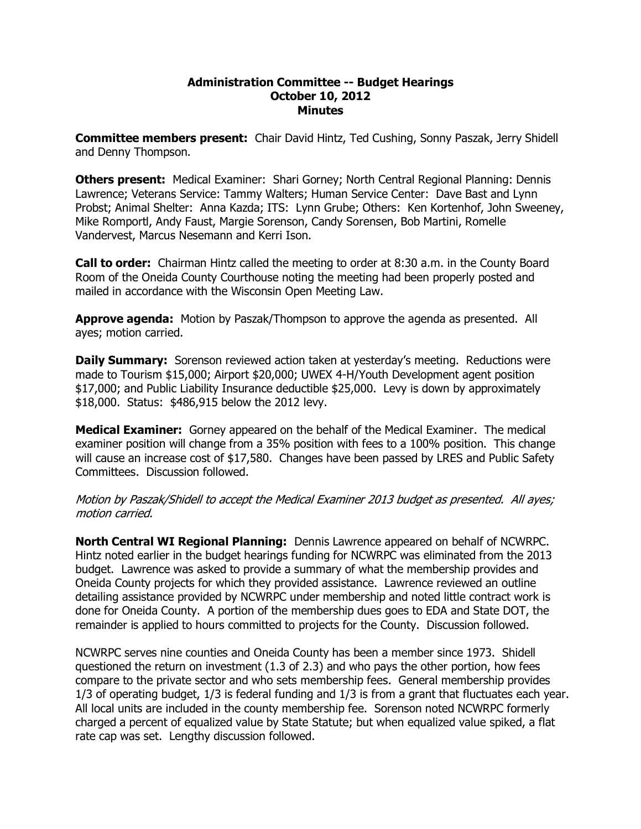## **Administration Committee Budget Hearings October 10, 2012 Minutes**

**Committee members present:**  Chair David Hintz, Ted Cushing, Sonny Paszak, Jerry Shidell and Denny Thompson.

**Others present:**  Medical Examiner: Shari Gorney; North Central Regional Planning: Dennis Lawrence; Veterans Service: Tammy Walters; Human Service Center: Dave Bast and Lynn Probst; Animal Shelter: Anna Kazda; ITS: Lynn Grube; Others: Ken Kortenhof, John Sweeney, Mike Romportl, Andy Faust, Margie Sorenson, Candy Sorensen, Bob Martini, Romelle Vandervest, Marcus Nesemann and Kerri Ison.

**Call to order:**  Chairman Hintz called the meeting to order at 8:30 a.m. in the County Board Room of the Oneida County Courthouse noting the meeting had been properly posted and mailed in accordance with the Wisconsin Open Meeting Law.

**Approve agenda:** Motion by Paszak/Thompson to approve the agenda as presented. All ayes; motion carried.

**Daily Summary:** Sorenson reviewed action taken at yesterday's meeting. Reductions were made to Tourism \$15,000; Airport \$20,000; UWEX 4-H/Youth Development agent position \$17,000; and Public Liability Insurance deductible \$25,000. Levy is down by approximately \$18,000. Status: \$486,915 below the 2012 levy.

**Medical Examiner:** Gorney appeared on the behalf of the Medical Examiner. The medical examiner position will change from a 35% position with fees to a 100% position. This change will cause an increase cost of \$17,580. Changes have been passed by LRES and Public Safety Committees. Discussion followed.

Motion by Paszak/Shidell to accept the Medical Examiner 2013 budget as presented. All ayes; motion carried.

**North Central WI Regional Planning:** Dennis Lawrence appeared on behalf of NCWRPC. Hintz noted earlier in the budget hearings funding for NCWRPC was eliminated from the 2013 budget. Lawrence was asked to provide a summary of what the membership provides and Oneida County projects for which they provided assistance. Lawrence reviewed an outline detailing assistance provided by NCWRPC under membership and noted little contract work is done for Oneida County. A portion of the membership dues goes to EDA and State DOT, the remainder is applied to hours committed to projects for the County. Discussion followed.

NCWRPC serves nine counties and Oneida County has been a member since 1973. Shidell questioned the return on investment (1.3 of 2.3) and who pays the other portion, how fees compare to the private sector and who sets membership fees. General membership provides 1/3 of operating budget, 1/3 is federal funding and 1/3 is from a grant that fluctuates each year. All local units are included in the county membership fee. Sorenson noted NCWRPC formerly charged a percent of equalized value by State Statute; but when equalized value spiked, a flat rate cap was set. Lengthy discussion followed.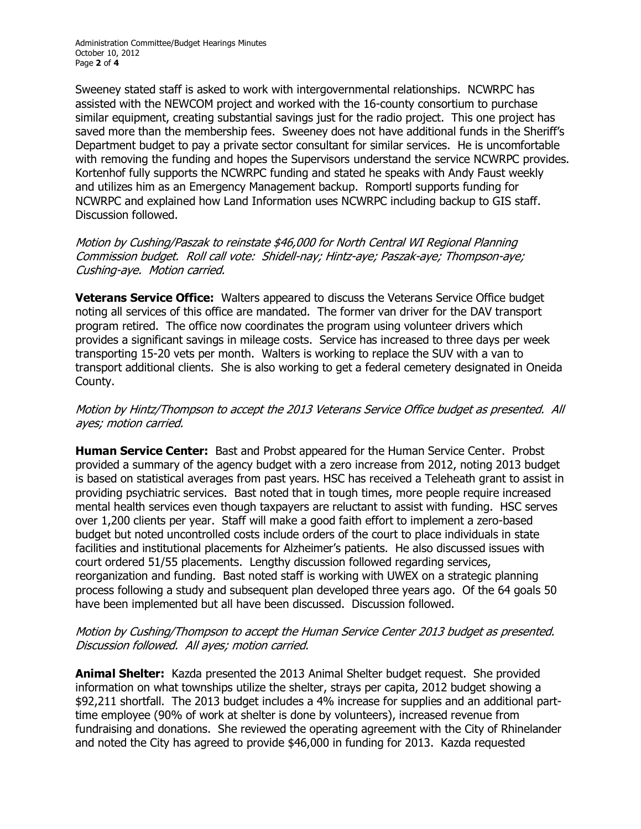Sweeney stated staff is asked to work with intergovernmental relationships. NCWRPC has assisted with the NEWCOM project and worked with the 16-county consortium to purchase similar equipment, creating substantial savings just for the radio project. This one project has saved more than the membership fees. Sweeney does not have additional funds in the Sheriff's Department budget to pay a private sector consultant for similar services. He is uncomfortable with removing the funding and hopes the Supervisors understand the service NCWRPC provides. Kortenhof fully supports the NCWRPC funding and stated he speaks with Andy Faust weekly and utilizes him as an Emergency Management backup. Romportl supports funding for NCWRPC and explained how Land Information uses NCWRPC including backup to GIS staff. Discussion followed.

Motion by Cushing/Paszak to reinstate \$46,000 for North Central WI Regional Planning Commission budget. Roll call vote: Shidell-nay; Hintz-aye; Paszak-aye; Thompson-aye; Cushing-aye. Motion carried.

**Veterans Service Office:** Walters appeared to discuss the Veterans Service Office budget noting all services of this office are mandated. The former van driver for the DAV transport program retired. The office now coordinates the program using volunteer drivers which provides a significant savings in mileage costs. Service has increased to three days per week transporting 1520 vets per month. Walters is working to replace the SUV with a van to transport additional clients. She is also working to get a federal cemetery designated in Oneida County.

## Motion by Hintz/Thompson to accept the 2013 Veterans Service Office budget as presented. All ayes; motion carried.

**Human Service Center:** Bast and Probst appeared for the Human Service Center. Probst provided a summary of the agency budget with a zero increase from 2012, noting 2013 budget is based on statistical averages from past years. HSC has received a Teleheath grant to assist in providing psychiatric services. Bast noted that in tough times, more people require increased mental health services even though taxpayers are reluctant to assist with funding. HSC serves over 1,200 clients per year. Staff will make a good faith effort to implement a zero-based budget but noted uncontrolled costs include orders of the court to place individuals in state facilities and institutional placements for Alzheimer's patients. He also discussed issues with court ordered 51/55 placements. Lengthy discussion followed regarding services, reorganization and funding. Bast noted staff is working with UWEX on a strategic planning process following a study and subsequent plan developed three years ago. Of the 64 goals 50 have been implemented but all have been discussed. Discussion followed.

## Motion by Cushing/Thompson to accept the Human Service Center 2013 budget as presented. Discussion followed. All ayes; motion carried.

**Animal Shelter:** Kazda presented the 2013 Animal Shelter budget request. She provided information on what townships utilize the shelter, strays per capita, 2012 budget showing a \$92,211 shortfall. The 2013 budget includes a 4% increase for supplies and an additional part time employee (90% of work at shelter is done by volunteers), increased revenue from fundraising and donations. She reviewed the operating agreement with the City of Rhinelander and noted the City has agreed to provide \$46,000 in funding for 2013. Kazda requested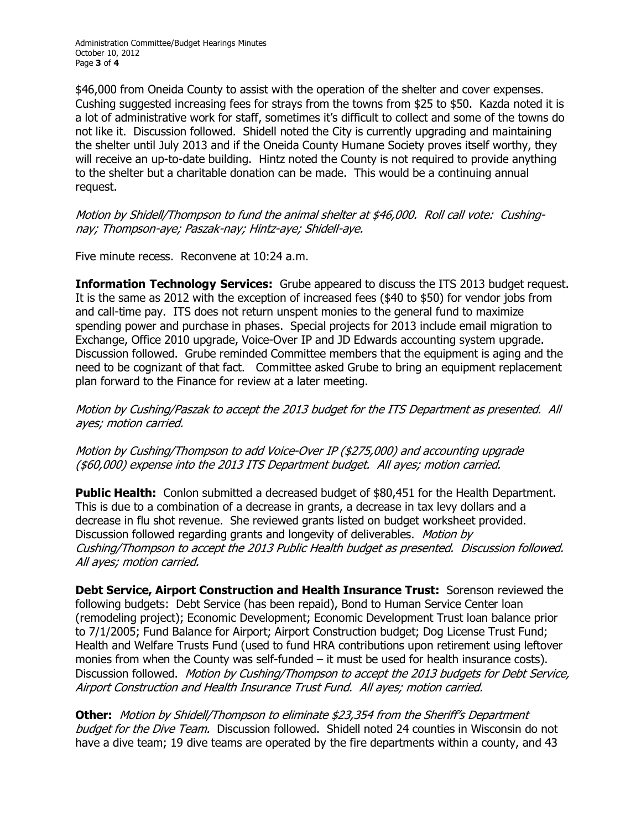Administration Committee/Budget Hearings Minutes October 10, 2012 Page **3** of **4** 

\$46,000 from Oneida County to assist with the operation of the shelter and cover expenses. Cushing suggested increasing fees for strays from the towns from \$25 to \$50. Kazda noted it is a lot of administrative work for staff, sometimes it's difficult to collect and some of the towns do not like it. Discussion followed. Shidell noted the City is currently upgrading and maintaining the shelter until July 2013 and if the Oneida County Humane Society proves itself worthy, they will receive an up-to-date building. Hintz noted the County is not required to provide anything to the shelter but a charitable donation can be made. This would be a continuing annual request.

Motion by Shidell/Thompson to fund the animal shelter at \$46,000. Roll call vote: Cushing nay; Thompson-aye; Paszak-nay; Hintz-aye; Shidell-aye.

Five minute recess. Reconvene at 10:24 a.m.

**Information Technology Services:** Grube appeared to discuss the ITS 2013 budget request. It is the same as 2012 with the exception of increased fees (\$40 to \$50) for vendor jobs from and call-time pay. ITS does not return unspent monies to the general fund to maximize spending power and purchase in phases. Special projects for 2013 include email migration to Exchange, Office 2010 upgrade, Voice-Over IP and JD Edwards accounting system upgrade. Discussion followed. Grube reminded Committee members that the equipment is aging and the need to be cognizant of that fact. Committee asked Grube to bring an equipment replacement plan forward to the Finance for review at a later meeting.

Motion by Cushing/Paszak to accept the 2013 budget for the ITS Department as presented. All ayes; motion carried.

## Motion by Cushing/Thompson to add Voice-Over IP (\$275,000) and accounting upgrade (\$60,000) expense into the 2013 ITS Department budget. All ayes; motion carried.

**Public Health:** Conlon submitted a decreased budget of \$80,451 for the Health Department. This is due to a combination of a decrease in grants, a decrease in tax levy dollars and a decrease in flu shot revenue. She reviewed grants listed on budget worksheet provided. Discussion followed regarding grants and longevity of deliverables. *Motion by* Cushing/Thompson to accept the 2013 Public Health budget as presented. Discussion followed. All ayes; motion carried.

**Debt Service, Airport Construction and Health Insurance Trust:**  Sorenson reviewed the following budgets: Debt Service (has been repaid), Bond to Human Service Center loan (remodeling project); Economic Development; Economic Development Trust loan balance prior to 7/1/2005; Fund Balance for Airport; Airport Construction budget; Dog License Trust Fund; Health and Welfare Trusts Fund (used to fund HRA contributions upon retirement using leftover monies from when the County was self-funded  $-$  it must be used for health insurance costs). Discussion followed. Motion by Cushing/Thompson to accept the 2013 budgets for Debt Service. Airport Construction and Health Insurance Trust Fund. All ayes; motion carried.

**Other:** Motion by Shidell/Thompson to eliminate \$23,354 from the Sheriff's Department budget for the Dive Team. Discussion followed. Shidell noted 24 counties in Wisconsin do not have a dive team; 19 dive teams are operated by the fire departments within a county, and 43